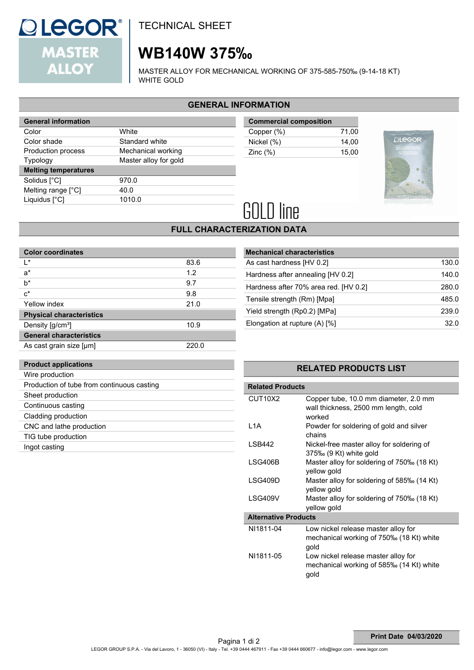

# **WB140W 375‰**

MASTER ALLOY FOR MECHANICAL WORKING OF 375-585-750‰ (9-14-18 KT) WHITE GOLD

## **GENERAL INFORMATION**

| <b>General information</b>  |                       |  |  |
|-----------------------------|-----------------------|--|--|
| Color                       | White                 |  |  |
| Color shade                 | Standard white        |  |  |
| Production process          | Mechanical working    |  |  |
| <b>Typology</b>             | Master alloy for gold |  |  |
| <b>Melting temperatures</b> |                       |  |  |
| Solidus [°C]                | 970.0                 |  |  |
| Melting range [°C]          | 40.0                  |  |  |
| Liquidus [°C]               | 1010.0                |  |  |
|                             |                       |  |  |

| <b>Commercial composition</b> |       |  |
|-------------------------------|-------|--|
| Copper (%)                    | 71.00 |  |
| Nickel (%)                    | 14.00 |  |
| Zinc $(\%)$                   | 15.00 |  |



# **GOLD line**

## **FULL CHARACTERIZATION DATA**

| <b>Color coordinates</b>        |       |  |  |
|---------------------------------|-------|--|--|
| I∗                              | 83.6  |  |  |
| $a^*$                           | 1.2   |  |  |
| b*                              | 9.7   |  |  |
| $c^*$                           | 9.8   |  |  |
| Yellow index                    | 21.0  |  |  |
| <b>Physical characteristics</b> |       |  |  |
| Density [g/cm <sup>3</sup> ]    | 10.9  |  |  |
| <b>General characteristics</b>  |       |  |  |
| As cast grain size [µm]         | 220.0 |  |  |

| <b>Mechanical characteristics</b>     |       |  |  |
|---------------------------------------|-------|--|--|
| As cast hardness [HV 0.2]             | 130.0 |  |  |
| Hardness after annealing [HV 0.2]     | 140.0 |  |  |
| Hardness after 70% area red. [HV 0.2] | 280.0 |  |  |
| Tensile strength (Rm) [Mpa]           | 485.0 |  |  |
| Yield strength (Rp0.2) [MPa]          | 239.0 |  |  |
| Elongation at rupture (A) [%]         | 32 O  |  |  |

## **Product applications**

| Wire production                            |
|--------------------------------------------|
| Production of tube from continuous casting |
| Sheet production                           |
| Continuous casting                         |
| Cladding production                        |
| CNC and lathe production                   |
| TIG tube production                        |
| Ingot casting                              |
|                                            |

### **RELATED PRODUCTS LIST**

| <b>Related Products</b>          |                                                                                         |  |  |  |
|----------------------------------|-----------------------------------------------------------------------------------------|--|--|--|
| CUT <sub>10</sub> X <sub>2</sub> | Copper tube, 10.0 mm diameter, 2.0 mm<br>wall thickness, 2500 mm length, cold<br>worked |  |  |  |
| L <sub>1</sub> A                 | Powder for soldering of gold and silver<br>chains                                       |  |  |  |
| <b>LSB442</b>                    | Nickel-free master alloy for soldering of<br>375‰ (9 Kt) white gold                     |  |  |  |
| LSG406B                          | Master alloy for soldering of 750‰ (18 Kt)<br>yellow gold                               |  |  |  |
| LSG409D                          | Master alloy for soldering of 585‰ (14 Kt)<br>yellow gold                               |  |  |  |
| LSG409V                          | Master alloy for soldering of 750‰ (18 Kt)<br>yellow gold                               |  |  |  |
| <b>Alternative Products</b>      |                                                                                         |  |  |  |
| NI1811-04                        | Low nickel release master alloy for<br>mechanical working of 750‰ (18 Kt) white<br>gold |  |  |  |
| NI1811-05                        | Low nickel release master alloy for<br>mechanical working of 585‰ (14 Kt) white<br>gold |  |  |  |